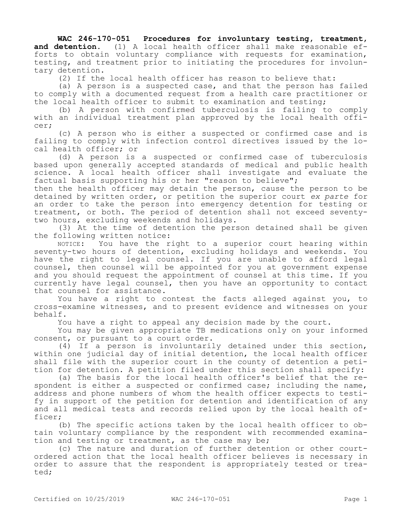## **WAC 246-170-051 Procedures for involuntary testing, treatment,**

**and detention.** (1) A local health officer shall make reasonable efforts to obtain voluntary compliance with requests for examination, testing, and treatment prior to initiating the procedures for involuntary detention.

(2) If the local health officer has reason to believe that:

(a) A person is a suspected case, and that the person has failed to comply with a documented request from a health care practitioner or the local health officer to submit to examination and testing;

(b) A person with confirmed tuberculosis is failing to comply with an individual treatment plan approved by the local health officer;

(c) A person who is either a suspected or confirmed case and is failing to comply with infection control directives issued by the local health officer; or

(d) A person is a suspected or confirmed case of tuberculosis based upon generally accepted standards of medical and public health science. A local health officer shall investigate and evaluate the factual basis supporting his or her "reason to believe";

then the health officer may detain the person, cause the person to be detained by written order, or petition the superior court *ex parte* for an order to take the person into emergency detention for testing or treatment, or both. The period of detention shall not exceed seventytwo hours, excluding weekends and holidays.

(3) At the time of detention the person detained shall be given the following written notice:

NOTICE: You have the right to a superior court hearing within seventy-two hours of detention, excluding holidays and weekends. You have the right to legal counsel. If you are unable to afford legal counsel, then counsel will be appointed for you at government expense and you should request the appointment of counsel at this time. If you currently have legal counsel, then you have an opportunity to contact that counsel for assistance.

You have a right to contest the facts alleged against you, to cross-examine witnesses, and to present evidence and witnesses on your behalf.

You have a right to appeal any decision made by the court.

You may be given appropriate TB medications only on your informed consent, or pursuant to a court order.

(4) If a person is involuntarily detained under this section, within one judicial day of initial detention, the local health officer shall file with the superior court in the county of detention a petition for detention. A petition filed under this section shall specify:

(a) The basis for the local health officer's belief that the respondent is either a suspected or confirmed case; including the name, address and phone numbers of whom the health officer expects to testify in support of the petition for detention and identification of any and all medical tests and records relied upon by the local health officer;

(b) The specific actions taken by the local health officer to obtain voluntary compliance by the respondent with recommended examination and testing or treatment, as the case may be;

(c) The nature and duration of further detention or other courtordered action that the local health officer believes is necessary in order to assure that the respondent is appropriately tested or treated;